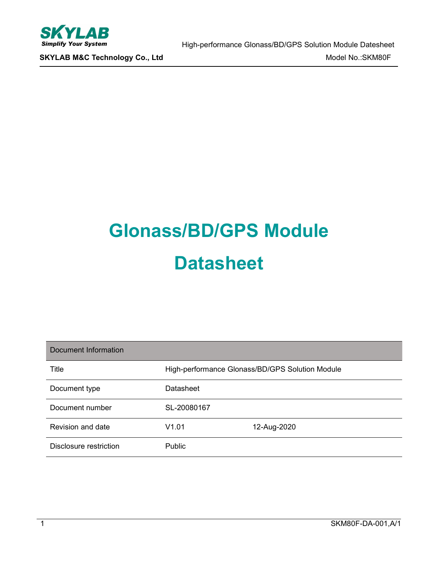

# **Glonass/BD/GPS Module Datasheet**

| Document Information   |               |                                                 |
|------------------------|---------------|-------------------------------------------------|
| Title                  |               | High-performance Glonass/BD/GPS Solution Module |
| Document type          | Datasheet     |                                                 |
| Document number        | SL-20080167   |                                                 |
| Revision and date      | V1.01         | 12-Aug-2020                                     |
| Disclosure restriction | <b>Public</b> |                                                 |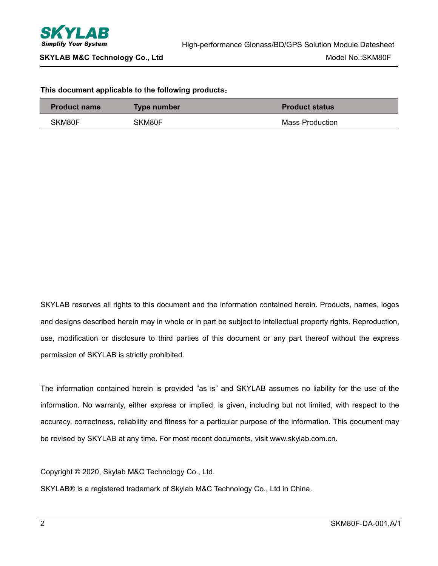

#### **This document applicable to the following products**:

| <b>Product name</b> | <b>Type number</b> | <b>Product status</b> |
|---------------------|--------------------|-----------------------|
| SKM80F              | SKM80F             | Mass Production       |

SKYLAB reserves all rights to this document and the information contained herein. Products, names, logos and designs described herein may in whole or in part be subject to intellectual property rights. Reproduction, use, modification or disclosure to third parties of this document or any part thereof without the express permission of SKYLAB is strictly prohibited.

The information contained herein is provided "as is" and SKYLAB assumes no liability for the use of the information. No warranty, either express or implied, is given, including but not limited, with respect to the accuracy, correctness, reliability and fitness for a particular purpose of the information. This document may be revised by SKYLAB at any time. For most recent documents, visit www.skylab.com.cn.

Copyright © 2020, Skylab M&C Technology Co., Ltd.

SKYLAB® is a registered trademark of Skylab M&C Technology Co., Ltd in China.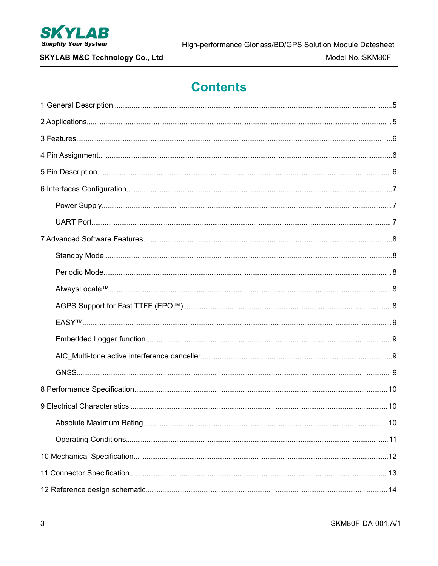

**SKYLAB M&C Technology Co., Ltd** 

## **Contents**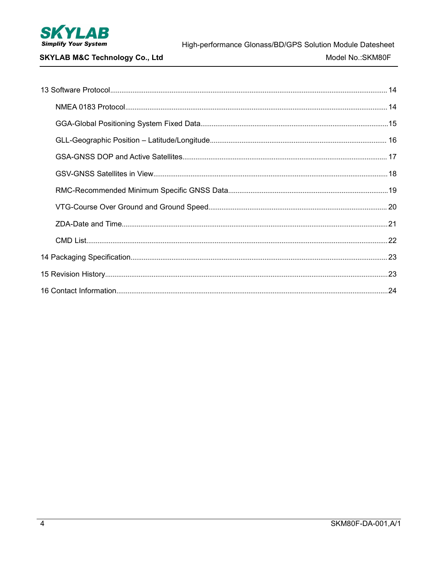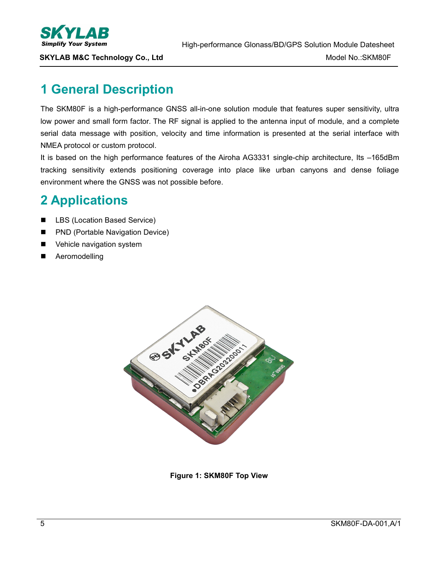

## <span id="page-4-0"></span>**1 General Description**

The SKM80F is a high-performance GNSS all-in-one solution module that features super sensitivity, ultra low power and small form factor. The RF signal is applied to the antenna input of module, and a complete serial data message with position, velocity and time information is presented at the serial interface with NMEA protocol or custom protocol.

It is based on the high performance features of the Airoha AG3331 single-chip architecture, Its -165dBm tracking sensitivity extends positioning coverage into place like urban canyons and dense foliage environment where the GNSS was not possible before.

## <span id="page-4-1"></span>**2 Applications**

- LBS (Location Based Service)
- **PND (Portable Navigation Device)**
- **National Vehicle navigation system**
- **Aeromodelling**



**Figure 1: SKM80F Top View**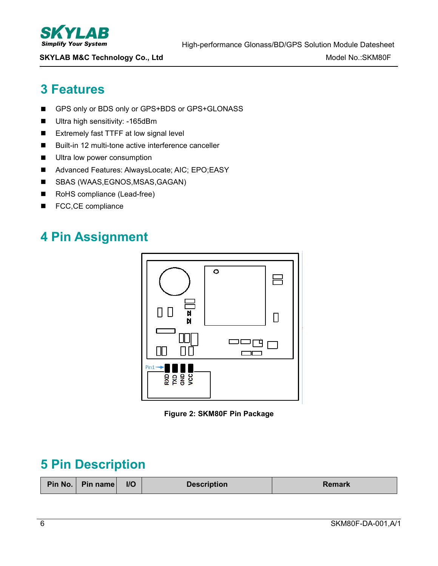

## <span id="page-5-0"></span>**3 Features**

- GPS only or BDS only or GPS+BDS or GPS+GLONASS
- **Ultra high sensitivity: -165dBm**
- Extremely fast TTFF at low signal level
- Built-in 12 multi-tone active interference canceller
- **Ultra low power consumption**
- Advanced Features: AlwaysLocate; AIC; EPO;EASY
- SBAS (WAAS, EGNOS, MSAS, GAGAN)
- RoHS compliance (Lead-free)
- FCC,CE compliance

## <span id="page-5-1"></span>**4 Pin Assignment**



**Figure 2: SKM80F Pin Package**

## <span id="page-5-2"></span>**5 Pin Description**

| Pin No.   Pin name | $II$ | <b>Description</b> | <b>Remark</b> |
|--------------------|------|--------------------|---------------|
|                    |      |                    |               |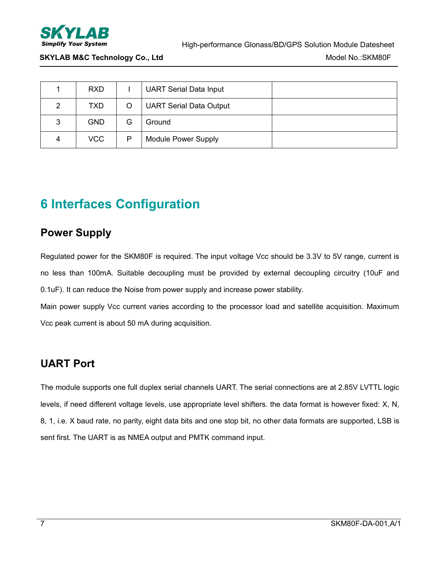

|   | <b>RXD</b> |   | <b>UART Serial Data Input</b>  |  |
|---|------------|---|--------------------------------|--|
| 2 | TXD.       | O | <b>UART Serial Data Output</b> |  |
| 3 | <b>GND</b> | G | Ground                         |  |
| 4 | <b>VCC</b> | P | <b>Module Power Supply</b>     |  |

## <span id="page-6-0"></span>**6 Interfaces Configuration**

### <span id="page-6-1"></span>**Power Supply**

Regulated power for the SKM80F is required. The input voltage Vcc should be 3.3V to 5V range, current is no less than 100mA. Suitable decoupling must be provided by external decoupling circuitry (10uF and 0.1uF). It can reduce the Noise from power supply and increase power stability.

Main power supply Vcc current varies according to the processor load and satellite acquisition. Maximum Vcc peak current is about 50 mA during acquisition.

### <span id="page-6-2"></span>**UART Port**

The module supports one full duplex serial channels UART. The serial connections are at 2.85V LVTTL logic levels, if need different voltage levels, use appropriate level shifters. the data format is however fixed: X, N, 8, 1, i.e. X baud rate, no parity, eight data bits and one stop bit, no other data formats are supported, LSB is sent first. The UART is as NMEA output and PMTK command input.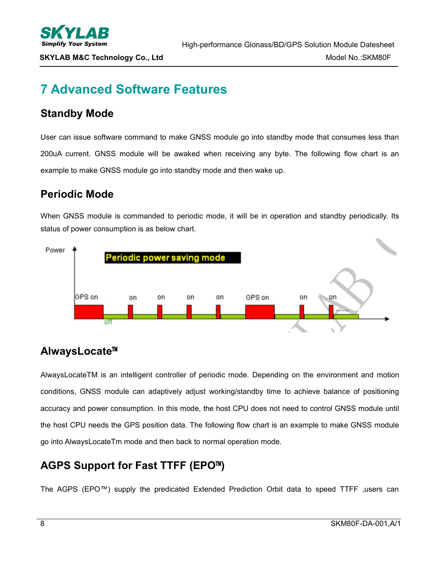## <span id="page-7-0"></span>**7 Advanced Software Features**

### <span id="page-7-1"></span>**Standby Mode**

User can issue software command to make GNSS module go into standby mode that consumes less than 200uA current. GNSS module will be awaked when receiving any byte. The following flow chart is an example to make GNSS module go into standby mode and then wake up.

### <span id="page-7-2"></span>**Periodic Mode**

When GNSS module is commanded to periodic mode, it will be in operation and standby periodically. Its status of power consumption is as below chart.



## <span id="page-7-3"></span>**AlwaysLocate**™

AlwaysLocateTM is an intelligent controller of periodic mode. Depending on the environment and motion conditions, GNSS module can adaptively adjust working/standby time to achieve balance of positioning accuracy and power consumption. In this mode, the host CPU does not need to control GNSS module until the host CPU needs the GPS position data. The following flow chart is an example to make GNSS module go into AlwaysLocateTm mode and then back to normal operation mode.

## <span id="page-7-4"></span>**AGPS Support for Fast TTFF (EPO**™**)**

The AGPS (EPO™) supply the predicated Extended Prediction Orbit data to speed TTFF ,users can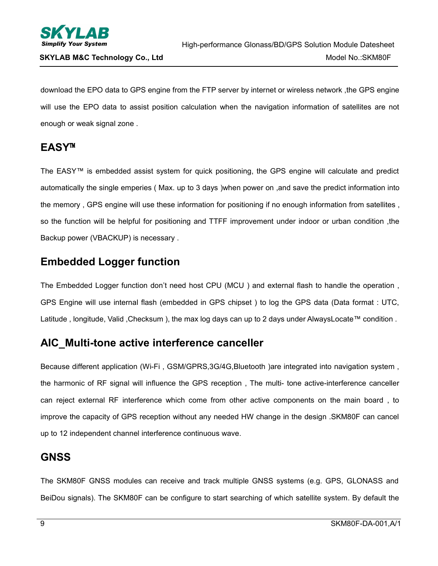

download the EPO data to GPS engine from the FTP server by internet or wireless network ,the GPS engine will use the EPO data to assist position calculation when the navigation information of satellites are not enough or weak signal zone .

### <span id="page-8-0"></span>**EASY**™

The EASY™ is embedded assist system for quick positioning, the GPS engine will calculate and predict automatically the single emperies ( Max. up to 3 days )when power on ,and save the predict information into the memory , GPS engine will use these information for positioning if no enough information from satellites , so the function will be helpful for positioning and TTFF improvement under indoor or urban condition ,the Backup power (VBACKUP) is necessary .

## <span id="page-8-1"></span>**Embedded Logger function**

The Embedded Logger function don't need host CPU (MCU ) and external flash to handle the operation , GPS Engine will use internal flash (embedded in GPS chipset ) to log the GPS data (Data format : UTC, Latitude , longitude, Valid ,Checksum ), the max log days can up to 2 days under AlwaysLocate™ condition .

### <span id="page-8-2"></span>**AIC\_Multi-tone active interference canceller**

Because different application (Wi-Fi , GSM/GPRS,3G/4G,Bluetooth )are integrated into navigation system , the harmonic of RF signal will influence the GPS reception , The multi- tone active-interference canceller can reject external RF interference which come from other active components on the main board , to improve the capacity of GPS reception without any needed HW change in the design .SKM80F can cancel up to 12 independent channel interference continuous wave.

### <span id="page-8-3"></span>**GNSS**

The SKM80F GNSS modules can receive and track multiple GNSS systems (e.g. GPS, GLONASS and BeiDou signals). The SKM80F can be configure to start searching of which satellite system. By default the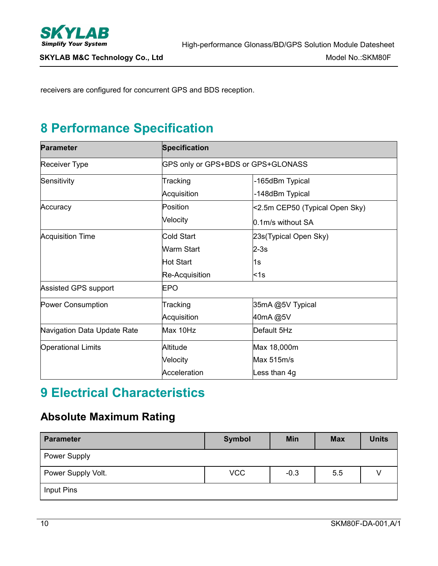

receivers are configured for concurrent GPS and BDS reception.

## <span id="page-9-0"></span>**8 Performance Specification**

| <b>Parameter</b>            | Specification  |                                    |  |  |  |  |
|-----------------------------|----------------|------------------------------------|--|--|--|--|
| Receiver Type               |                | GPS only or GPS+BDS or GPS+GLONASS |  |  |  |  |
| Sensitivity                 | Tracking       | -165dBm Typical                    |  |  |  |  |
|                             | Acquisition    | -148dBm Typical                    |  |  |  |  |
| Accuracy                    | Position       | <2.5m CEP50 (Typical Open Sky)     |  |  |  |  |
|                             | Velocity       | 0.1m/s without SA                  |  |  |  |  |
| <b>Acquisition Time</b>     | Cold Start     | 23s(Typical Open Sky)              |  |  |  |  |
|                             | Warm Start     | $2-3s$                             |  |  |  |  |
|                             | Hot Start      | 1s                                 |  |  |  |  |
|                             | Re-Acquisition | k1s                                |  |  |  |  |
| Assisted GPS support        | <b>EPO</b>     |                                    |  |  |  |  |
| Power Consumption           | Tracking       | 35mA @5V Typical                   |  |  |  |  |
|                             | Acquisition    | 40mA@5V                            |  |  |  |  |
| Navigation Data Update Rate | Max 10Hz       | Default 5Hz                        |  |  |  |  |
| <b>Operational Limits</b>   | Altitude       | Max 18,000m                        |  |  |  |  |
|                             | Velocity       | Max 515m/s                         |  |  |  |  |
|                             | Acceleration   | Less than 4g                       |  |  |  |  |

## <span id="page-9-1"></span>**9 Electrical Characteristics**

## <span id="page-9-2"></span>**Absolute Maximum Rating**

| <b>Parameter</b>    | Symbol     | <b>Min</b> | <b>Max</b> | <b>Units</b> |
|---------------------|------------|------------|------------|--------------|
| <b>Power Supply</b> |            |            |            |              |
| Power Supply Volt.  | <b>VCC</b> | $-0.3$     | 5.5        |              |
| Input Pins          |            |            |            |              |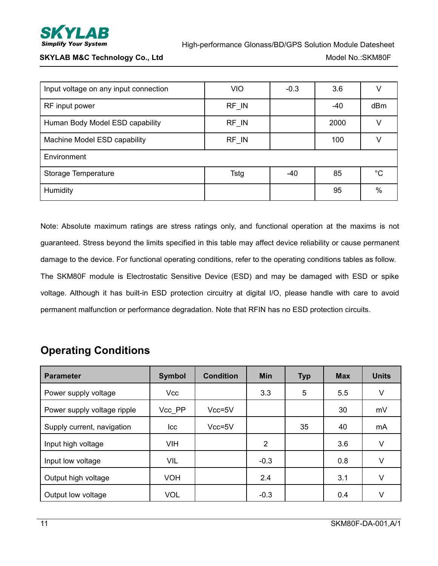

| <b>VIO</b><br>Input voltage on any input connection<br>$-0.3$<br>3.6<br>V |
|---------------------------------------------------------------------------|
| RF IN<br>dBm<br>-40<br>RF input power                                     |
| Human Body Model ESD capability<br>RF IN<br>2000<br>V                     |
| RF_IN<br>Machine Model ESD capability<br>100<br>$\vee$                    |
| Environment                                                               |
| $^{\circ}C$<br>85<br>Storage Temperature<br>Tstg<br>$-40$                 |
| Humidity<br>95<br>$\%$                                                    |

Note: Absolute maximum ratings are stress ratings only, and functional operation at the maxims is not guaranteed. Stress beyond the limits specified in this table may affect device reliability or cause permanent damage to the device. For functional operating conditions, refer to the operating conditions tables as follow. The SKM80F module is Electrostatic Sensitive Device (ESD) and may be damaged with ESD or spike voltage. Although it has built-in ESD protection circuitry at digital I/O, please handle with care to avoid permanent malfunction or performance degradation. Note that RFIN has no ESD protection circuits.

## <span id="page-10-0"></span>**Operating Conditions**

| <b>Parameter</b>            | <b>Symbol</b> | <b>Condition</b> | <b>Min</b>     | <b>Typ</b> | <b>Max</b> | <b>Units</b> |
|-----------------------------|---------------|------------------|----------------|------------|------------|--------------|
| Power supply voltage        | Vcc           |                  | 3.3            | 5          | 5.5        | V            |
| Power supply voltage ripple | Vcc PP        | $Vcc=5V$         |                |            | 30         | mV           |
| Supply current, navigation  | <b>Icc</b>    | $Vcc=5V$         |                | 35         | 40         | mA           |
| Input high voltage          | <b>VIH</b>    |                  | $\overline{2}$ |            | 3.6        | V            |
| Input low voltage           | VIL           |                  | $-0.3$         |            | 0.8        | V            |
| Output high voltage         | <b>VOH</b>    |                  | 2.4            |            | 3.1        | V            |
| Output low voltage          | <b>VOL</b>    |                  | $-0.3$         |            | 0.4        | V            |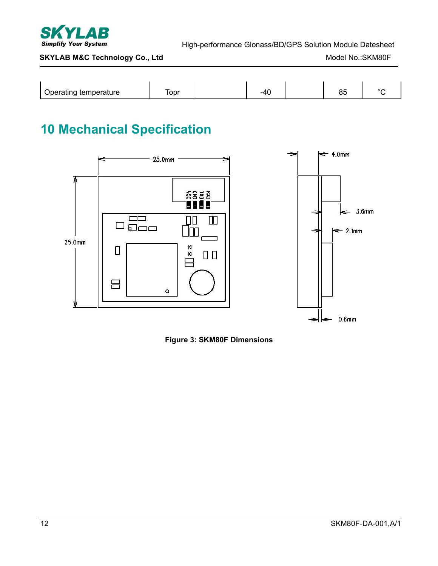

High-performance Glonass/BD/GPS Solution Module Datesheet

#### **SKYLAB M&C Technology Co., Ltd** Model No.:SKM80F

| ∽<br>temperature<br>Inorem 2<br>raung<br>יטע | opr | AC<br>. . | 0E<br>υu | $\sim$ |
|----------------------------------------------|-----|-----------|----------|--------|

## <span id="page-11-0"></span>**10 Mechanical Specification**



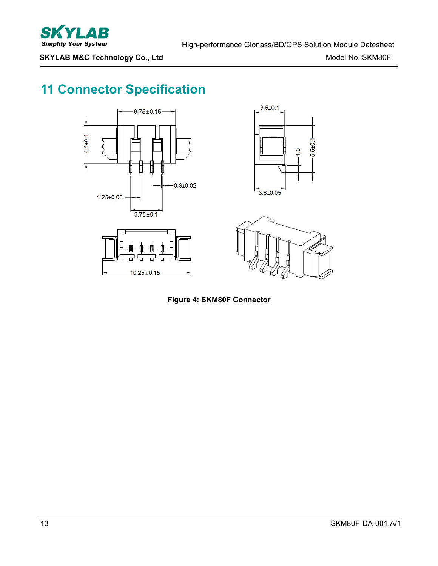

## <span id="page-12-0"></span>**11 Connector Specification**



**Figure 4: SKM80F Connector**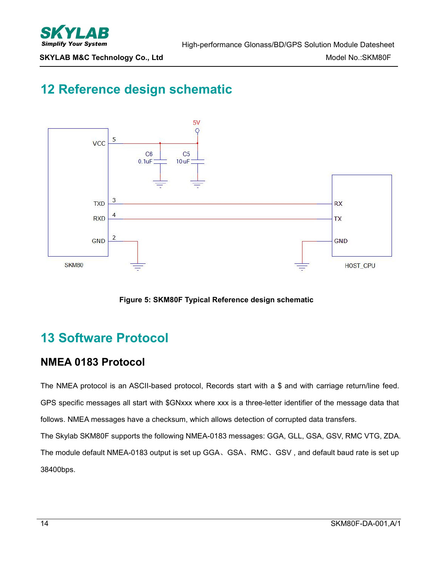

## <span id="page-13-0"></span>**12 Reference design schematic**



**Figure 5: SKM80F Typical Reference design schematic**

## <span id="page-13-1"></span>**13 Software Protocol**

### <span id="page-13-2"></span>**NMEA 0183 Protocol**

The NMEA protocol is an ASCII-based protocol, Records start with a \$ and with carriage return/line feed. GPS specific messages all start with \$GNxxx where xxx is a three-letter identifier of the message data that follows. NMEA messages have a checksum, which allows detection of corrupted data transfers.

The Skylab SKM80F supports the following NMEA-0183 messages: GGA, GLL, GSA, GSV, RMC VTG, ZDA. The module default NMEA-0183 output is set up GGA、GSA、RMC、GSV, and default baud rate is set up 38400bps.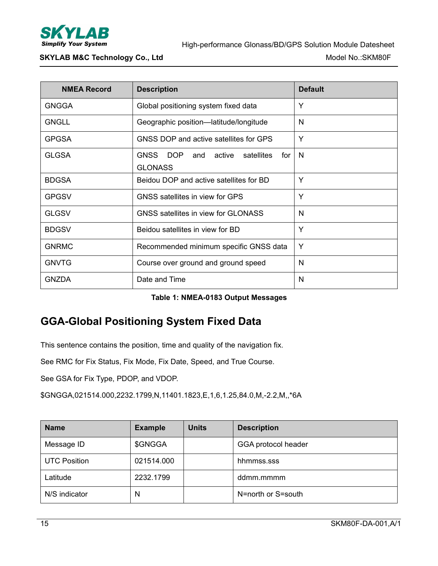

| <b>NMEA Record</b> | <b>Description</b>                                                | <b>Default</b> |
|--------------------|-------------------------------------------------------------------|----------------|
| <b>GNGGA</b>       | Global positioning system fixed data                              | Y              |
| <b>GNGLL</b>       | Geographic position-latitude/longitude                            | N              |
| <b>GPGSA</b>       | GNSS DOP and active satellites for GPS                            | Y              |
| <b>GLGSA</b>       | <b>GNSS</b><br>DOP and active satellites<br>for<br><b>GLONASS</b> | N              |
| <b>BDGSA</b>       | Beidou DOP and active satellites for BD                           | Y              |
| <b>GPGSV</b>       | GNSS satellites in view for GPS                                   | Y              |
| <b>GLGSV</b>       | GNSS satellites in view for GLONASS                               | N              |
| <b>BDGSV</b>       | Beidou satellites in view for BD                                  | Y              |
| <b>GNRMC</b>       | Recommended minimum specific GNSS data                            | Y              |
| <b>GNVTG</b>       | Course over ground and ground speed                               | N              |
| <b>GNZDA</b>       | Date and Time                                                     | N              |

| Table 1: NMEA-0183 Output Messages |  |
|------------------------------------|--|
|------------------------------------|--|

### <span id="page-14-0"></span>**GGA-Global Positioning System Fixed Data**

This sentence contains the position, time and quality of the navigation fix.

See RMC for Fix Status, Fix Mode, Fix Date, Speed, and True Course.

See GSA for Fix Type, PDOP, and VDOP.

\$GNGGA,021514.000,2232.1799,N,11401.1823,E,1,6,1.25,84.0,M,-2.2,M,,\*6A

| <b>Name</b>         | <b>Example</b> | <b>Units</b> | <b>Description</b>  |
|---------------------|----------------|--------------|---------------------|
| Message ID          | \$GNGGA        |              | GGA protocol header |
| <b>UTC Position</b> | 021514.000     |              | hhmmss.sss          |
| Latitude            | 2232.1799      |              | ddmm.mmmm           |
| N/S indicator       | N              |              | N=north or S=south  |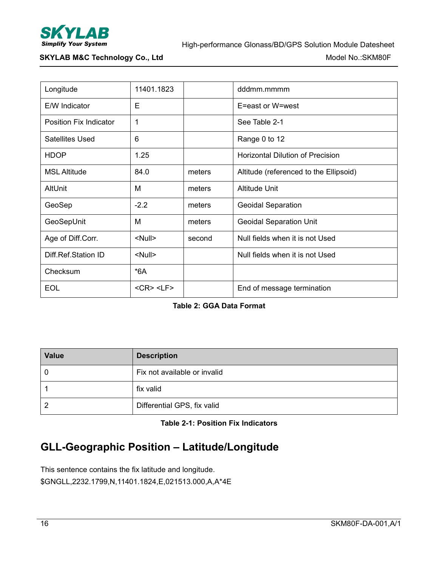

| Longitude                     | 11401.1823            |        | dddmm.mmmm                              |
|-------------------------------|-----------------------|--------|-----------------------------------------|
| E/W Indicator                 | E                     |        | E=east or W=west                        |
| <b>Position Fix Indicator</b> | 1                     |        | See Table 2-1                           |
| <b>Satellites Used</b>        | 6                     |        | Range 0 to 12                           |
| <b>HDOP</b>                   | 1.25                  |        | <b>Horizontal Dilution of Precision</b> |
| <b>MSL Altitude</b>           | 84.0                  | meters | Altitude (referenced to the Ellipsoid)  |
| AltUnit                       | м                     | meters | <b>Altitude Unit</b>                    |
| GeoSep                        | $-2.2$                | meters | <b>Geoidal Separation</b>               |
| GeoSepUnit                    | M                     | meters | <b>Geoidal Separation Unit</b>          |
| Age of Diff.Corr.             | <null></null>         | second | Null fields when it is not Used         |
| Diff.Ref.Station ID           | <null></null>         |        | Null fields when it is not Used         |
| Checksum                      | $*6A$                 |        |                                         |
| <b>EOL</b>                    | $<$ CR $>$ $<$ LF $>$ |        | End of message termination              |

#### **Table 2: GGA Data Format**

| <b>Value</b> | <b>Description</b>           |
|--------------|------------------------------|
| 0            | Fix not available or invalid |
|              | fix valid                    |
|              | Differential GPS, fix valid  |

**Table 2-1: Position Fix Indicators**

## <span id="page-15-0"></span>**GLL-Geographic Position – Latitude/Longitude**

This sentence contains the fix latitude and longitude. \$GNGLL,2232.1799,N,11401.1824,E,021513.000,A,A\*4E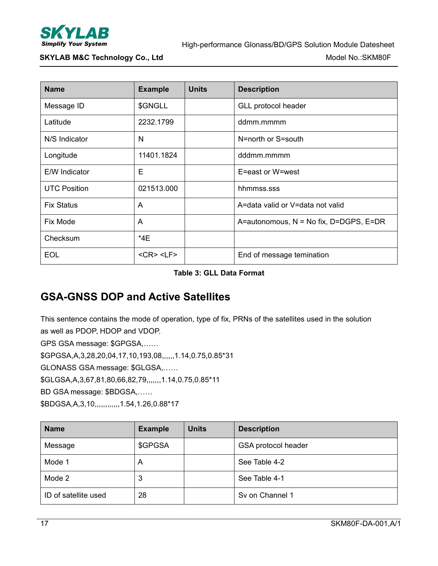

| <b>Name</b>         | <b>Example</b>        | <b>Units</b> | <b>Description</b>                     |
|---------------------|-----------------------|--------------|----------------------------------------|
| Message ID          | \$GNGLL               |              | GLL protocol header                    |
| Latitude            | 2232.1799             |              | ddmm.mmmm                              |
| N/S Indicator       | N                     |              | N=north or S=south                     |
| Longitude           | 11401.1824            |              | dddmm.mmmm                             |
| E/W Indicator       | E                     |              | E=east or W=west                       |
| <b>UTC Position</b> | 021513.000            |              | hhmmss.sss                             |
| <b>Fix Status</b>   | A                     |              | A=data valid or V=data not valid       |
| Fix Mode            | A                     |              | A=autonomous, N = No fix, D=DGPS, E=DR |
| Checksum            | $*4E$                 |              |                                        |
| <b>EOL</b>          | $<$ CR $>$ $<$ LF $>$ |              | End of message temination              |

#### **Table 3: GLL Data Format**

### <span id="page-16-0"></span>**GSA-GNSS DOP and Active Satellites**

This sentence contains the mode of operation, type of fix, PRNs of the satellites used in the solution as well as PDOP, HDOP and VDOP.

GPS GSA message: \$GPGSA,……

\$GPGSA,A,3,28,20,04,17,10,193,08,,,,,,1.14,0.75,0.85\*31

GLONASS GSA message: \$GLGSA,……

\$GLGSA,A,3,67,81,80,66,82,79,,,,,,,1.14,0.75,0.85\*11

BD GSA message: \$BDGSA,……

\$BDGSA,A,3,10,,,,,,,,,,,,1.54,1.26,0.88\*17

| <b>Name</b>          | <b>Example</b> | <b>Units</b> | <b>Description</b>  |
|----------------------|----------------|--------------|---------------------|
| Message              | \$GPGSA        |              | GSA protocol header |
| Mode 1               | A              |              | See Table 4-2       |
| Mode 2               | 3              |              | See Table 4-1       |
| ID of satellite used | 28             |              | Sy on Channel 1     |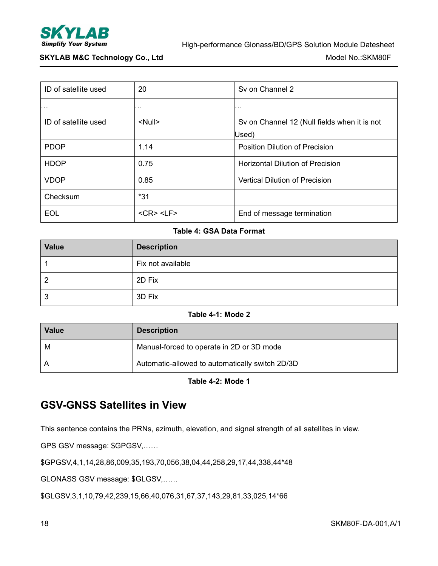

| ID of satellite used | 20                    | Sy on Channel 2                              |
|----------------------|-----------------------|----------------------------------------------|
| $\cdots$             | .                     | $\cdots$                                     |
| ID of satellite used | <null></null>         | Sv on Channel 12 (Null fields when it is not |
|                      |                       | Used)                                        |
| <b>PDOP</b>          | 1.14                  | <b>Position Dilution of Precision</b>        |
| <b>HDOP</b>          | 0.75                  | <b>Horizontal Dilution of Precision</b>      |
| <b>VDOP</b>          | 0.85                  | Vertical Dilution of Precision               |
| Checksum             | $*31$                 |                                              |
| <b>EOL</b>           | $<$ CR $>$ $<$ LF $>$ | End of message termination                   |

#### **Table 4: GSA Data Format**

| <b>Value</b> | <b>Description</b> |
|--------------|--------------------|
|              | Fix not available  |
|              | 2D Fix             |
| 3            | 3D Fix             |

#### **Table 4-1: Mode 2**

| <b>Value</b> | <b>Description</b>                              |
|--------------|-------------------------------------------------|
| M            | Manual-forced to operate in 2D or 3D mode       |
|              | Automatic-allowed to automatically switch 2D/3D |

**Table 4-2: Mode 1**

### <span id="page-17-0"></span>**GSV-GNSS Satellites in View**

This sentence contains the PRNs, azimuth, elevation, and signal strength of all satellites in view.

GPS GSV message: \$GPGSV,……

\$GPGSV,4,1,14,28,86,009,35,193,70,056,38,04,44,258,29,17,44,338,44\*48

GLONASS GSV message: \$GLGSV,……

\$GLGSV,3,1,10,79,42,239,15,66,40,076,31,67,37,143,29,81,33,025,14\*66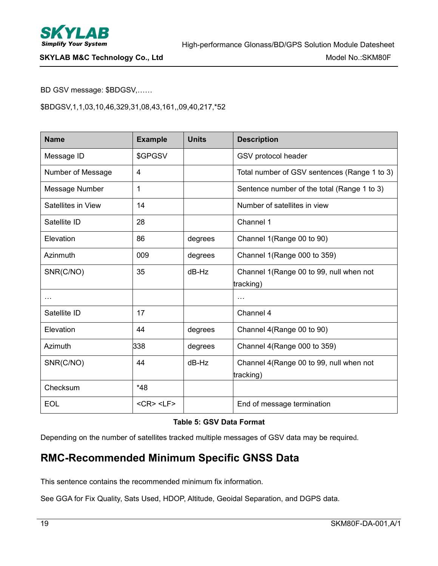

BD GSV message: \$BDGSV,……

\$BDGSV,1,1,03,10,46,329,31,08,43,161,,09,40,217,\*52

| <b>Name</b>        | <b>Example</b>        | <b>Units</b> | <b>Description</b>                           |
|--------------------|-----------------------|--------------|----------------------------------------------|
| Message ID         | \$GPGSV               |              | GSV protocol header                          |
| Number of Message  | 4                     |              | Total number of GSV sentences (Range 1 to 3) |
| Message Number     | 1                     |              | Sentence number of the total (Range 1 to 3)  |
| Satellites in View | 14                    |              | Number of satellites in view                 |
| Satellite ID       | 28                    |              | Channel 1                                    |
| Elevation          | 86                    | degrees      | Channel 1(Range 00 to 90)                    |
| Azinmuth           | 009                   | degrees      | Channel 1(Range 000 to 359)                  |
| SNR(C/NO)          | 35                    | $dB-Hz$      | Channel 1(Range 00 to 99, null when not      |
|                    |                       |              | tracking)                                    |
| $\cdots$           |                       |              | $\cdots$                                     |
| Satellite ID       | 17                    |              | Channel 4                                    |
| Elevation          | 44                    | degrees      | Channel 4(Range 00 to 90)                    |
| Azimuth            | 338                   | degrees      | Channel 4(Range 000 to 359)                  |
| SNR(C/NO)          | 44                    | $dB-Hz$      | Channel 4(Range 00 to 99, null when not      |
|                    |                       |              | tracking)                                    |
| Checksum           | $*48$                 |              |                                              |
| EOL                | $<$ CR $>$ $<$ LF $>$ |              | End of message termination                   |

#### **Table 5: GSV Data Format**

Depending on the number of satellites tracked multiple messages of GSV data may be required.

### <span id="page-18-0"></span>**RMC-Recommended Minimum Specific GNSS Data**

This sentence contains the recommended minimum fix information.

See GGA for Fix Quality, Sats Used, HDOP, Altitude, Geoidal Separation, and DGPS data.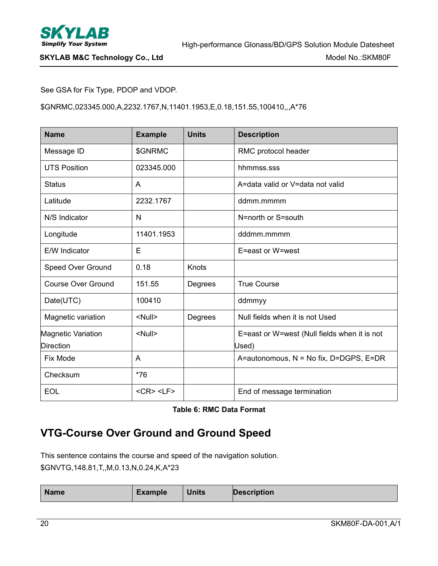

#### See GSA for Fix Type, PDOP and VDOP.

\$GNRMC,023345.000,A,2232.1767,N,11401.1953,E,0.18,151.55,100410,,,A\*76

| <b>Name</b>                            | <b>Example</b>        | <b>Units</b> | <b>Description</b>                                    |
|----------------------------------------|-----------------------|--------------|-------------------------------------------------------|
| Message ID                             | \$GNRMC               |              | RMC protocol header                                   |
| <b>UTS Position</b>                    | 023345.000            |              | hhmmss.sss                                            |
| <b>Status</b>                          | A                     |              | A=data valid or V=data not valid                      |
| Latitude                               | 2232.1767             |              | ddmm.mmmm                                             |
| N/S Indicator                          | N                     |              | N=north or S=south                                    |
| Longitude                              | 11401.1953            |              | dddmm.mmmm                                            |
| E/W Indicator                          | E                     |              | E=east or W=west                                      |
| Speed Over Ground                      | 0.18                  | Knots        |                                                       |
| <b>Course Over Ground</b>              | 151.55                | Degrees      | <b>True Course</b>                                    |
| Date(UTC)                              | 100410                |              | ddmmyy                                                |
| Magnetic variation                     | <null></null>         | Degrees      | Null fields when it is not Used                       |
| Magnetic Variation<br><b>Direction</b> | <null></null>         |              | E=east or W=west (Null fields when it is not<br>Used) |
| Fix Mode                               | A                     |              | A=autonomous, N = No fix, D=DGPS, E=DR                |
| Checksum                               | $*76$                 |              |                                                       |
| <b>EOL</b>                             | $<$ CR $>$ $<$ LF $>$ |              | End of message termination                            |

#### **Table 6: RMC Data Format**

## <span id="page-19-0"></span>**VTG-Course Over Ground and Ground Speed**

This sentence contains the course and speed of the navigation solution. \$GNVTG,148.81,T,,M,0.13,N,0.24,K,A\*23

| <b>Name</b> | Example | <b>Units</b> | Description |
|-------------|---------|--------------|-------------|
|             |         |              |             |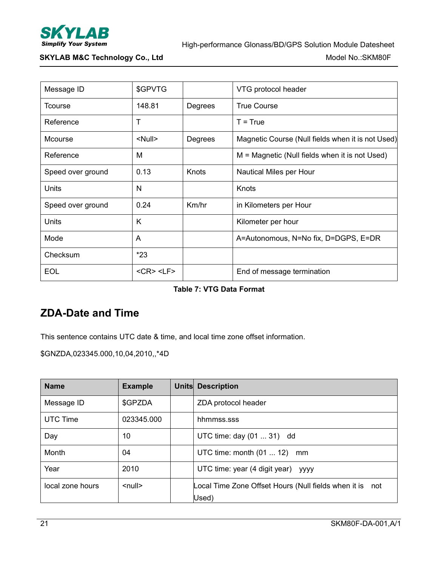

| Message ID        | \$GPVTG               |         | VTG protocol header                               |  |
|-------------------|-----------------------|---------|---------------------------------------------------|--|
| <b>Tcourse</b>    | 148.81                | Degrees | <b>True Course</b>                                |  |
| Reference         | Т                     |         | $T = True$                                        |  |
| <b>Mcourse</b>    | <null></null>         | Degrees | Magnetic Course (Null fields when it is not Used) |  |
| Reference         | M                     |         | $M = Magnetic$ (Null fields when it is not Used)  |  |
| Speed over ground | 0.13                  | Knots   | Nautical Miles per Hour                           |  |
| Units             | N                     |         | Knots                                             |  |
| Speed over ground | 0.24                  | Km/hr   | in Kilometers per Hour                            |  |
| <b>Units</b>      | K                     |         | Kilometer per hour                                |  |
| Mode              | A                     |         | A=Autonomous, N=No fix, D=DGPS, E=DR              |  |
| Checksum          | $*23$                 |         |                                                   |  |
| <b>EOL</b>        | $<$ CR $>$ $<$ LF $>$ |         | End of message termination                        |  |
|                   |                       |         |                                                   |  |

#### **Table 7: VTG Data Format**

### <span id="page-20-0"></span>**ZDA-Date and Time**

This sentence contains UTC date & time, and local time zone offset information.

\$GNZDA,023345.000,10,04,2010,,\*4D

| <b>Name</b>      | <b>Example</b>     | <b>Units Description</b>                                 |
|------------------|--------------------|----------------------------------------------------------|
| Message ID       | \$GPZDA            | ZDA protocol header                                      |
| <b>UTC Time</b>  | 023345.000         | hhmmss.sss                                               |
| Day              | 10                 | UTC time: day (01  31) dd                                |
| Month            | 04                 | UTC time: month $(01 \dots 12)$<br>mm                    |
| Year             | 2010               | UTC time: year (4 digit year) yyyy                       |
| local zone hours | $\leq$ null $\geq$ | Local Time Zone Offset Hours (Null fields when it is not |
|                  |                    | Used)                                                    |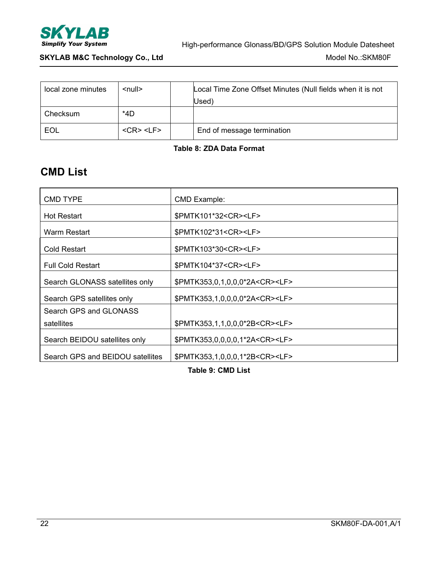

| local zone minutes | $\leq$ null $\geq$ | Local Time Zone Offset Minutes (Null fields when it is not<br>(Used |
|--------------------|--------------------|---------------------------------------------------------------------|
| Checksum           | $*4D$              |                                                                     |
| EOL                | $<$ CR> $<$ LF>    | End of message termination                                          |

#### **Table 8: ZDA Data Format**

### <span id="page-21-0"></span>**CMD List**

| <b>CMD TYPE</b>                  | CMD Example:                              |
|----------------------------------|-------------------------------------------|
| <b>Hot Restart</b>               | \$PMTK101*32 <cr><lf></lf></cr>           |
| Warm Restart                     | \$PMTK102*31 <cr><lf></lf></cr>           |
| Cold Restart                     | \$PMTK103*30 <cr><lf></lf></cr>           |
| <b>Full Cold Restart</b>         | \$PMTK104*37 <cr><lf></lf></cr>           |
| Search GLONASS satellites only   | \$PMTK353,0,1,0,0,0*2A <cr><lf></lf></cr> |
| Search GPS satellites only       | \$PMTK353,1,0,0,0,0*2A <cr><lf></lf></cr> |
| Search GPS and GLONASS           |                                           |
| satellites                       | \$PMTK353,1,1,0,0,0*2B <cr><lf></lf></cr> |
| Search BEIDOU satellites only    | \$PMTK353,0,0,0,0,1*2A <cr><lf></lf></cr> |
| Search GPS and BEIDOU satellites | \$PMTK353,1,0,0,0,1*2B <cr><lf></lf></cr> |

**Table 9: CMD List**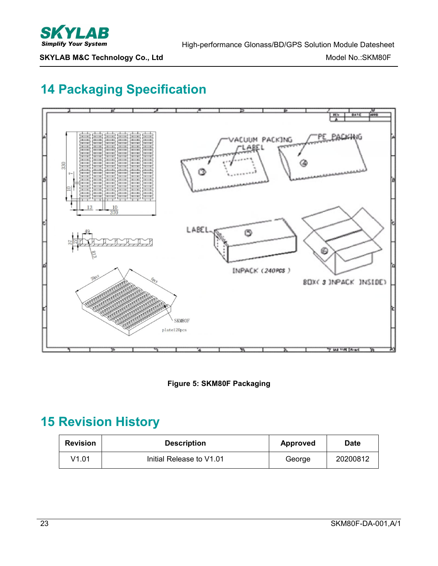

## <span id="page-22-0"></span>**14 Packaging Specification**





## <span id="page-22-1"></span>**15 Revision History**

| <b>Revision</b> | <b>Description</b>       | <b>Approved</b> | Date     |
|-----------------|--------------------------|-----------------|----------|
| V1.01           | Initial Release to V1.01 | George          | 20200812 |